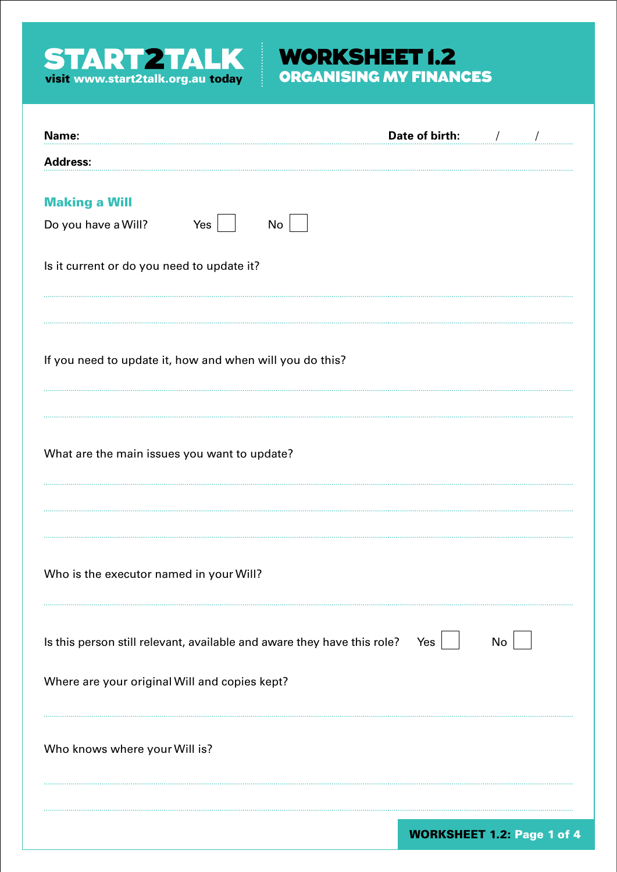

# WORKSHEET 1.2

| Name:                                                                       | Date of birth:                    |
|-----------------------------------------------------------------------------|-----------------------------------|
| <b>Address:</b>                                                             |                                   |
| <b>Making a Will</b><br>Yes<br>No<br>Do you have a Will?                    |                                   |
| Is it current or do you need to update it?                                  |                                   |
| If you need to update it, how and when will you do this?                    |                                   |
| What are the main issues you want to update?                                |                                   |
| Who is the executor named in your Will?                                     |                                   |
| Is this person still relevant, available and aware they have this role? Yes | No                                |
| Where are your original Will and copies kept?                               |                                   |
| Who knows where your Will is?                                               |                                   |
|                                                                             | <b>WORKSHEET 1.2: Page 1 of 4</b> |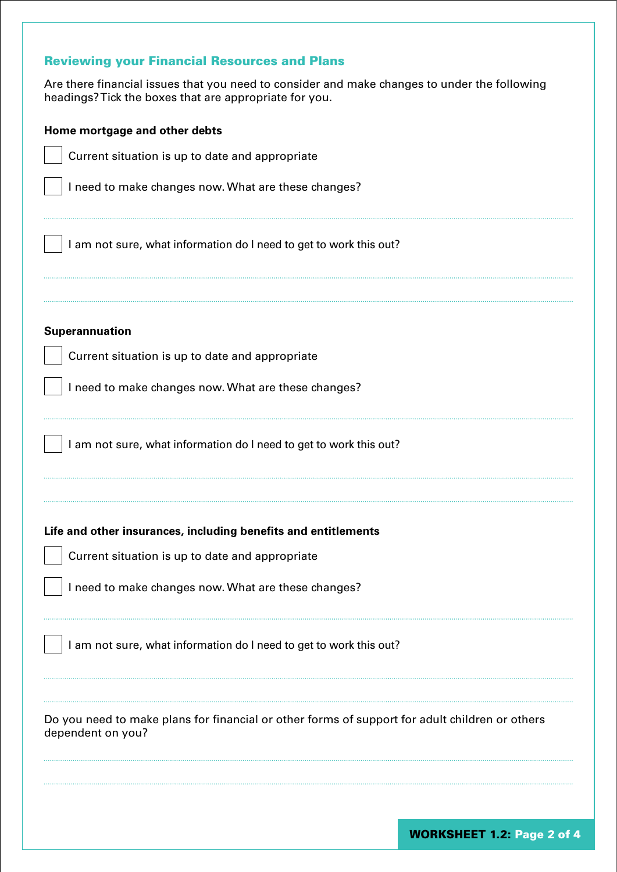## Reviewing your Financial Resources and Plans

Are there financial issues that you need to consider and make changes to under the following headings? Tick the boxes that are appropriate for you.

| Home mortgage and other debts                                                                                       |
|---------------------------------------------------------------------------------------------------------------------|
| Current situation is up to date and appropriate                                                                     |
| I need to make changes now. What are these changes?                                                                 |
| I am not sure, what information do I need to get to work this out?                                                  |
| Superannuation                                                                                                      |
| Current situation is up to date and appropriate                                                                     |
| I need to make changes now. What are these changes?                                                                 |
| I am not sure, what information do I need to get to work this out?                                                  |
| Life and other insurances, including benefits and entitlements                                                      |
| Current situation is up to date and appropriate<br>I need to make changes now. What are these changes?              |
| I am not sure, what information do I need to get to work this out?                                                  |
| Do you need to make plans for financial or other forms of support for adult children or others<br>dependent on you? |
| <b>WORKSHEET 1.2: Page 2 of 4</b>                                                                                   |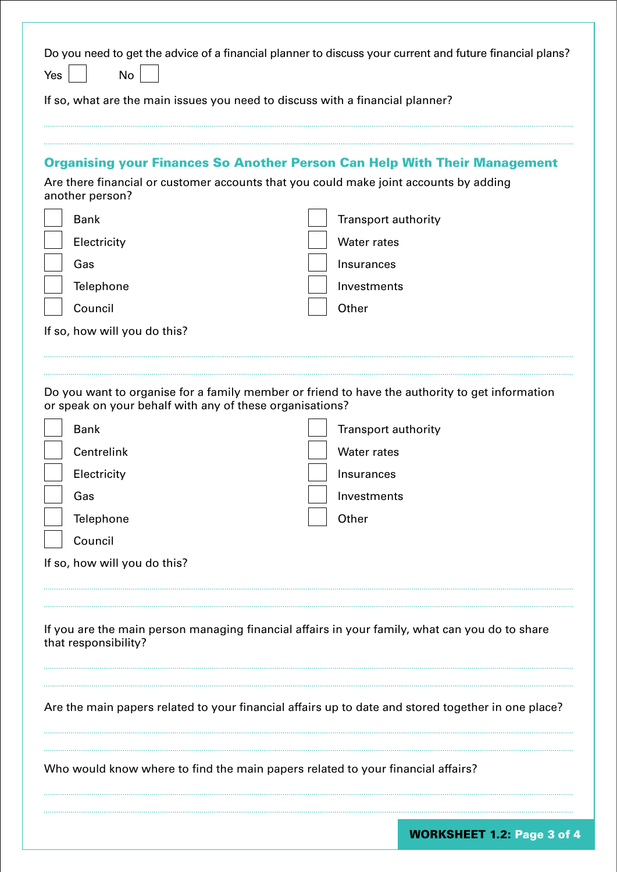| Do you need to get the advice of a financial planner to discuss your current and future financial plans?<br><b>No</b><br>Yes<br>If so, what are the main issues you need to discuss with a financial planner? |                                                                                                    |  |
|---------------------------------------------------------------------------------------------------------------------------------------------------------------------------------------------------------------|----------------------------------------------------------------------------------------------------|--|
|                                                                                                                                                                                                               |                                                                                                    |  |
| <b>Organising your Finances So Another Person Can Help With Their Management</b><br>Are there financial or customer accounts that you could make joint accounts by adding<br>another person?                  |                                                                                                    |  |
|                                                                                                                                                                                                               |                                                                                                    |  |
| Electricity                                                                                                                                                                                                   | <b>Water rates</b>                                                                                 |  |
| Gas                                                                                                                                                                                                           | Insurances                                                                                         |  |
| Telephone                                                                                                                                                                                                     | Investments                                                                                        |  |
| Council                                                                                                                                                                                                       | Other                                                                                              |  |
| If so, how will you do this?                                                                                                                                                                                  |                                                                                                    |  |
|                                                                                                                                                                                                               |                                                                                                    |  |
| or speak on your behalf with any of these organisations?                                                                                                                                                      | Do you want to organise for a family member or friend to have the authority to get information     |  |
| <b>Bank</b>                                                                                                                                                                                                   | Transport authority                                                                                |  |
| Centrelink                                                                                                                                                                                                    | <b>Water rates</b>                                                                                 |  |
| Electricity                                                                                                                                                                                                   | Insurances                                                                                         |  |
| Gas                                                                                                                                                                                                           | Investments                                                                                        |  |
| Telephone                                                                                                                                                                                                     | Other                                                                                              |  |
| Council                                                                                                                                                                                                       |                                                                                                    |  |
| If so, how will you do this?                                                                                                                                                                                  |                                                                                                    |  |
|                                                                                                                                                                                                               |                                                                                                    |  |
| that responsibility?                                                                                                                                                                                          | If you are the main person managing financial affairs in your family, what can you do to share     |  |
|                                                                                                                                                                                                               |                                                                                                    |  |
|                                                                                                                                                                                                               | Are the main papers related to your financial affairs up to date and stored together in one place? |  |
|                                                                                                                                                                                                               | Who would know where to find the main papers related to your financial affairs?                    |  |
|                                                                                                                                                                                                               | <b>WORKSHEET 1.2: Page 3 of 4</b>                                                                  |  |